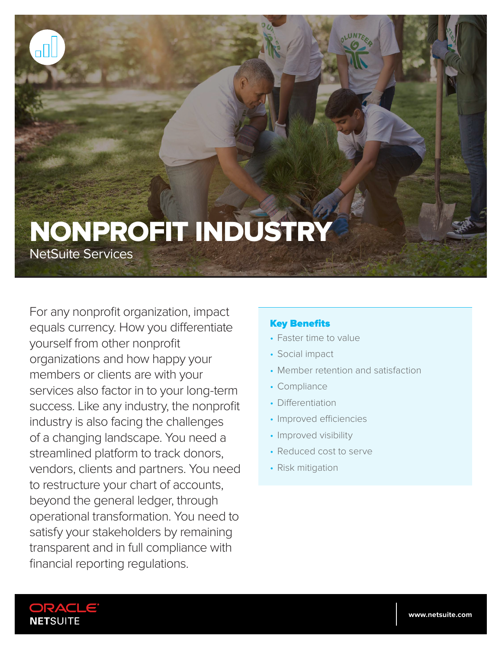# NONPROFIT INDUSTRY

NetSuite Services

For any nonprofit organization, impact equals currency. How you differentiate yourself from other nonprofit organizations and how happy your members or clients are with your services also factor in to your long-term success. Like any industry, the nonprofit industry is also facing the challenges of a changing landscape. You need a streamlined platform to track donors, vendors, clients and partners. You need to restructure your chart of accounts, beyond the general ledger, through operational transformation. You need to satisfy your stakeholders by remaining transparent and in full compliance with financial reporting regulations.

## Key Benefits

- Faster time to value
- Social impact
- Member retention and satisfaction
- Compliance
- Differentiation
- Improved efficiencies
- Improved visibility
- Reduced cost to serve
- Risk mitigation

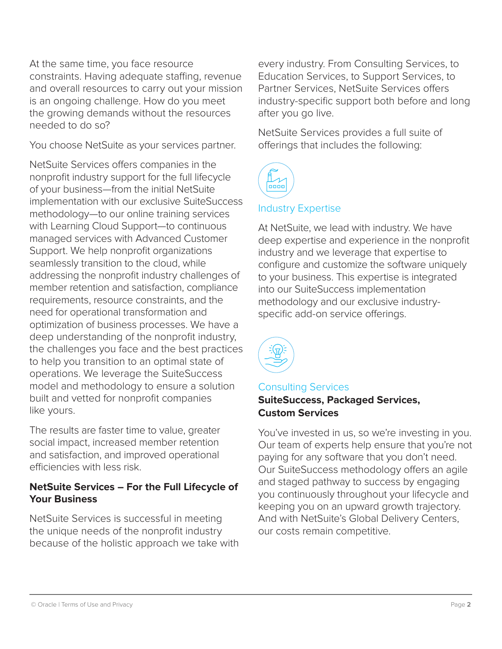At the same time, you face resource constraints. Having adequate staffing, revenue and overall resources to carry out your mission is an ongoing challenge. How do you meet the growing demands without the resources needed to do so?

You choose NetSuite as your services partner.

NetSuite Services offers companies in the nonprofit industry support for the full lifecycle of your business—from the initial NetSuite implementation with our exclusive SuiteSuccess methodology—to our online training services with Learning Cloud Support—to continuous managed services with Advanced Customer Support. We help nonprofit organizations seamlessly transition to the cloud, while addressing the nonprofit industry challenges of member retention and satisfaction, compliance requirements, resource constraints, and the need for operational transformation and optimization of business processes. We have a deep understanding of the nonprofit industry, the challenges you face and the best practices to help you transition to an optimal state of operations. We leverage the SuiteSuccess model and methodology to ensure a solution built and vetted for nonprofit companies like yours.

The results are faster time to value, greater social impact, increased member retention and satisfaction, and improved operational efficiencies with less risk.

## **NetSuite Services – For the Full Lifecycle of Your Business**

NetSuite Services is successful in meeting the unique needs of the nonprofit industry because of the holistic approach we take with every industry. From Consulting Services, to Education Services, to Support Services, to Partner Services, NetSuite Services offers industry-specific support both before and long after you go live.

NetSuite Services provides a full suite of offerings that includes the following:



## Industry Expertise

At NetSuite, we lead with industry. We have deep expertise and experience in the nonprofit industry and we leverage that expertise to configure and customize the software uniquely to your business. This expertise is integrated into our SuiteSuccess implementation methodology and our exclusive industryspecific add-on service offerings.



# Consulting Services **SuiteSuccess, Packaged Services, Custom Services**

You've invested in us, so we're investing in you. Our team of experts help ensure that you're not paying for any software that you don't need. Our SuiteSuccess methodology offers an agile and staged pathway to success by engaging you continuously throughout your lifecycle and keeping you on an upward growth trajectory. And with NetSuite's Global Delivery Centers, our costs remain competitive.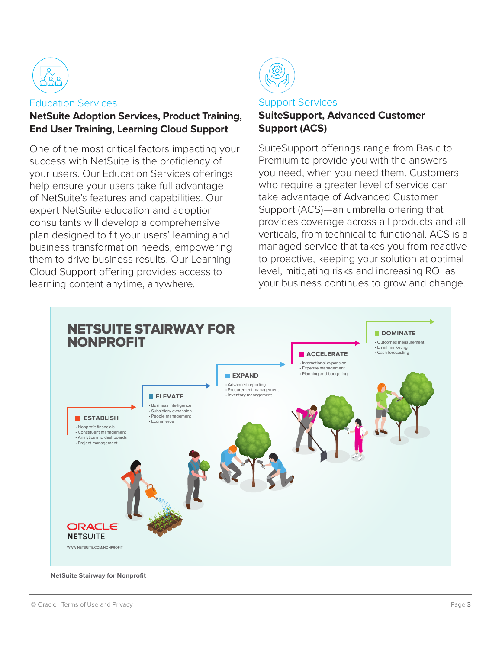

#### Education Services

## **NetSuite Adoption Services, Product Training, End User Training, Learning Cloud Support**

One of the most critical factors impacting your success with NetSuite is the proficiency of your users. Our Education Services offerings help ensure your users take full advantage of NetSuite's features and capabilities. Our expert NetSuite education and adoption consultants will develop a comprehensive plan designed to fit your users' learning and business transformation needs, empowering them to drive business results. Our Learning Cloud Support offering provides access to learning content anytime, anywhere.



## Support Services **SuiteSupport, Advanced Customer Support (ACS)**

SuiteSupport offerings range from Basic to Premium to provide you with the answers you need, when you need them. Customers who require a greater level of service can take advantage of Advanced Customer Support (ACS)—an umbrella offering that provides coverage across all products and all verticals, from technical to functional. ACS is a managed service that takes you from reactive to proactive, keeping your solution at optimal level, mitigating risks and increasing ROI as your business continues to grow and change.

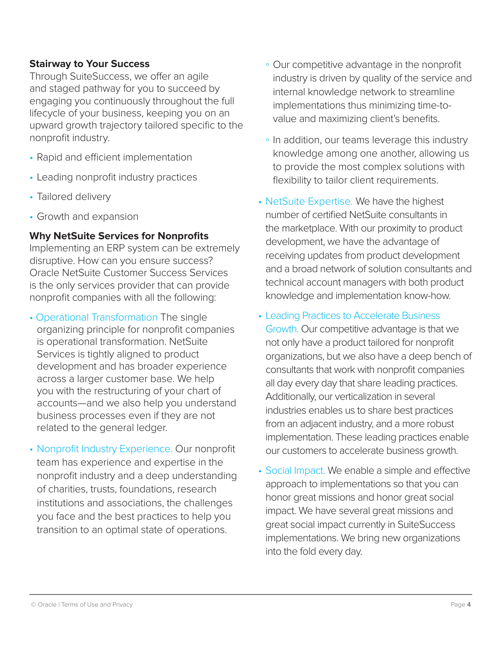## **Stairway to Your Success**

Through SuiteSuccess, we offer an agile and staged pathway for you to succeed by engaging you continuously throughout the full lifecycle of your business, keeping you on an upward growth trajectory tailored specific to the nonprofit industry.

- Rapid and efficient implementation
- Leading nonprofit industry practices
- Tailored delivery
- Growth and expansion

## **Why NetSuite Services for Nonprofits**

Implementing an ERP system can be extremely disruptive. How can you ensure success? Oracle NetSuite Customer Success Services is the only services provider that can provide nonprofit companies with all the following:

- Operational Transformation The single organizing principle for nonprofit companies is operational transformation. NetSuite Services is tightly aligned to product development and has broader experience across a larger customer base. We help you with the restructuring of your chart of accounts—and we also help you understand business processes even if they are not related to the general ledger.
- Nonprofit Industry Experience. Our nonprofit team has experience and expertise in the nonprofit industry and a deep understanding of charities, trusts, foundations, research institutions and associations, the challenges you face and the best practices to help you transition to an optimal state of operations.
- Our competitive advantage in the nonprofit industry is driven by quality of the service and internal knowledge network to streamline implementations thus minimizing time-tovalue and maximizing client's benefits.
- In addition, our teams leverage this industry knowledge among one another, allowing us to provide the most complex solutions with flexibility to tailor client requirements.
- NetSuite Expertise. We have the highest number of certified NetSuite consultants in the marketplace. With our proximity to product development, we have the advantage of receiving updates from product development and a broad network of solution consultants and technical account managers with both product knowledge and implementation know-how.
- Leading Practices to Accelerate Business Growth. Our competitive advantage is that we not only have a product tailored for nonprofit organizations, but we also have a deep bench of consultants that work with nonprofit companies all day every day that share leading practices. Additionally, our verticalization in several industries enables us to share best practices from an adjacent industry, and a more robust implementation. These leading practices enable our customers to accelerate business growth.
- Social Impact. We enable a simple and effective approach to implementations so that you can honor great missions and honor great social impact. We have several great missions and great social impact currently in SuiteSuccess implementations. We bring new organizations into the fold every day.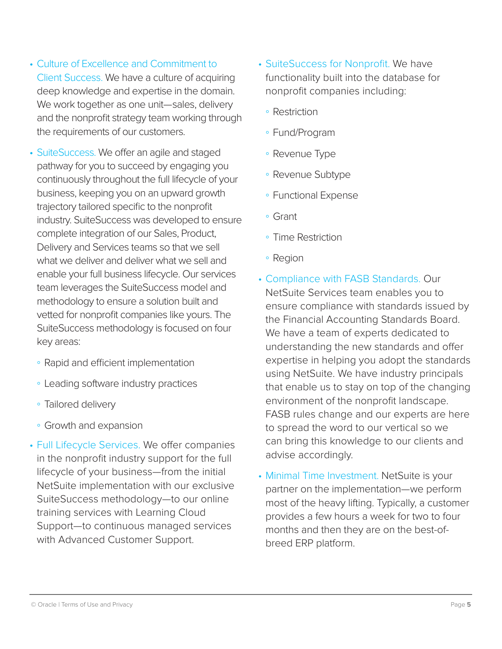- Culture of Excellence and Commitment to Client Success. We have a culture of acquiring deep knowledge and expertise in the domain. We work together as one unit—sales, delivery and the nonprofit strategy team working through the requirements of our customers.
- SuiteSuccess. We offer an agile and staged pathway for you to succeed by engaging you continuously throughout the full lifecycle of your business, keeping you on an upward growth trajectory tailored specific to the nonprofit industry. SuiteSuccess was developed to ensure complete integration of our Sales, Product, Delivery and Services teams so that we sell what we deliver and deliver what we sell and enable your full business lifecycle. Our services team leverages the SuiteSuccess model and methodology to ensure a solution built and vetted for nonprofit companies like yours. The SuiteSuccess methodology is focused on four key areas:
	- Rapid and efficient implementation
	- Leading software industry practices
	- Tailored delivery
	- Growth and expansion
- Full Lifecycle Services. We offer companies in the nonprofit industry support for the full lifecycle of your business—from the initial NetSuite implementation with our exclusive SuiteSuccess methodology—to our online training services with Learning Cloud Support—to continuous managed services with Advanced Customer Support.
- SuiteSuccess for Nonprofit. We have functionality built into the database for nonprofit companies including:
	- Restriction
	- Fund/Program
	- Revenue Type
	- Revenue Subtype
	- Functional Expense
	- Grant
	- Time Restriction
	- Region
- Compliance with FASB Standards. Our NetSuite Services team enables you to ensure compliance with standards issued by the Financial Accounting Standards Board. We have a team of experts dedicated to understanding the new standards and offer expertise in helping you adopt the standards using NetSuite. We have industry principals that enable us to stay on top of the changing environment of the nonprofit landscape. FASB rules change and our experts are here to spread the word to our vertical so we can bring this knowledge to our clients and advise accordingly.
- Minimal Time Investment. NetSuite is your partner on the implementation—we perform most of the heavy lifting. Typically, a customer provides a few hours a week for two to four months and then they are on the best-ofbreed ERP platform.